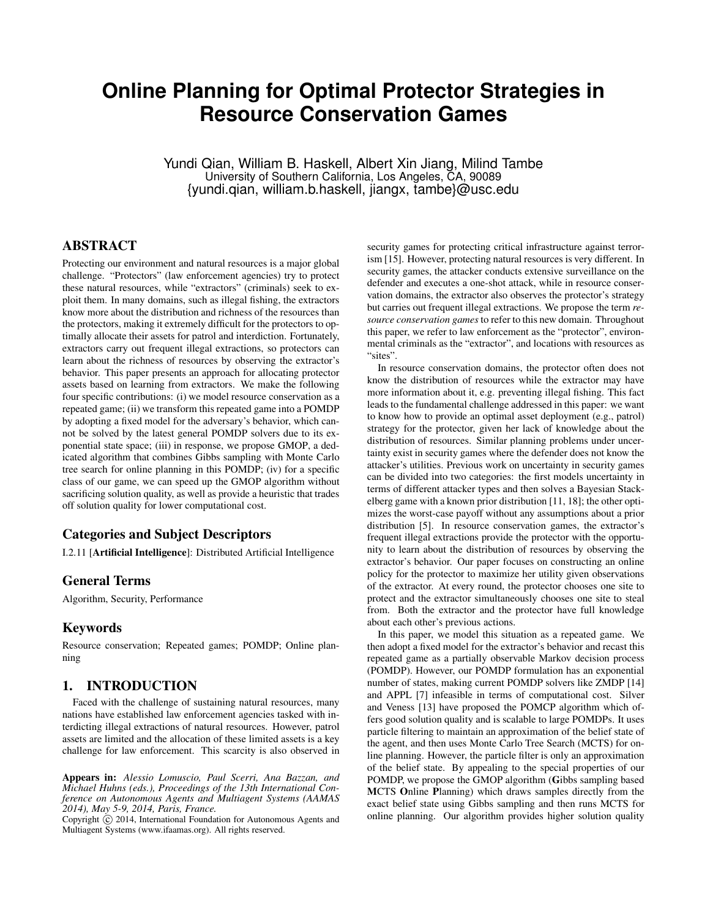# **Online Planning for Optimal Protector Strategies in Resource Conservation Games**

Yundi Qian, William B. Haskell, Albert Xin Jiang, Milind Tambe University of Southern California, Los Angeles, CA, 90089 {yundi.qian, william.b.haskell, jiangx, tambe}@usc.edu

# ABSTRACT

Protecting our environment and natural resources is a major global challenge. "Protectors" (law enforcement agencies) try to protect these natural resources, while "extractors" (criminals) seek to exploit them. In many domains, such as illegal fishing, the extractors know more about the distribution and richness of the resources than the protectors, making it extremely difficult for the protectors to optimally allocate their assets for patrol and interdiction. Fortunately, extractors carry out frequent illegal extractions, so protectors can learn about the richness of resources by observing the extractor's behavior. This paper presents an approach for allocating protector assets based on learning from extractors. We make the following four specific contributions: (i) we model resource conservation as a repeated game; (ii) we transform this repeated game into a POMDP by adopting a fixed model for the adversary's behavior, which cannot be solved by the latest general POMDP solvers due to its exponential state space; (iii) in response, we propose GMOP, a dedicated algorithm that combines Gibbs sampling with Monte Carlo tree search for online planning in this POMDP; (iv) for a specific class of our game, we can speed up the GMOP algorithm without sacrificing solution quality, as well as provide a heuristic that trades off solution quality for lower computational cost.

## Categories and Subject Descriptors

I.2.11 [Artificial Intelligence]: Distributed Artificial Intelligence

#### General Terms

Algorithm, Security, Performance

## Keywords

Resource conservation; Repeated games; POMDP; Online planning

## 1. INTRODUCTION

Faced with the challenge of sustaining natural resources, many nations have established law enforcement agencies tasked with interdicting illegal extractions of natural resources. However, patrol assets are limited and the allocation of these limited assets is a key challenge for law enforcement. This scarcity is also observed in

Appears in: *Alessio Lomuscio, Paul Scerri, Ana Bazzan, and Michael Huhns (eds.), Proceedings of the 13th International Conference on Autonomous Agents and Multiagent Systems (AAMAS 2014), May 5-9, 2014, Paris, France.*

Copyright  $\overline{c}$  2014, International Foundation for Autonomous Agents and Multiagent Systems (www.ifaamas.org). All rights reserved.

security games for protecting critical infrastructure against terrorism [15]. However, protecting natural resources is very different. In security games, the attacker conducts extensive surveillance on the defender and executes a one-shot attack, while in resource conservation domains, the extractor also observes the protector's strategy but carries out frequent illegal extractions. We propose the term *resource conservation games* to refer to this new domain. Throughout this paper, we refer to law enforcement as the "protector", environmental criminals as the "extractor", and locations with resources as "sites".

In resource conservation domains, the protector often does not know the distribution of resources while the extractor may have more information about it, e.g. preventing illegal fishing. This fact leads to the fundamental challenge addressed in this paper: we want to know how to provide an optimal asset deployment (e.g., patrol) strategy for the protector, given her lack of knowledge about the distribution of resources. Similar planning problems under uncertainty exist in security games where the defender does not know the attacker's utilities. Previous work on uncertainty in security games can be divided into two categories: the first models uncertainty in terms of different attacker types and then solves a Bayesian Stackelberg game with a known prior distribution [11, 18]; the other optimizes the worst-case payoff without any assumptions about a prior distribution [5]. In resource conservation games, the extractor's frequent illegal extractions provide the protector with the opportunity to learn about the distribution of resources by observing the extractor's behavior. Our paper focuses on constructing an online policy for the protector to maximize her utility given observations of the extractor. At every round, the protector chooses one site to protect and the extractor simultaneously chooses one site to steal from. Both the extractor and the protector have full knowledge about each other's previous actions.

In this paper, we model this situation as a repeated game. We then adopt a fixed model for the extractor's behavior and recast this repeated game as a partially observable Markov decision process (POMDP). However, our POMDP formulation has an exponential number of states, making current POMDP solvers like ZMDP [14] and APPL [7] infeasible in terms of computational cost. Silver and Veness [13] have proposed the POMCP algorithm which offers good solution quality and is scalable to large POMDPs. It uses particle filtering to maintain an approximation of the belief state of the agent, and then uses Monte Carlo Tree Search (MCTS) for online planning. However, the particle filter is only an approximation of the belief state. By appealing to the special properties of our POMDP, we propose the GMOP algorithm (Gibbs sampling based MCTS Online Planning) which draws samples directly from the exact belief state using Gibbs sampling and then runs MCTS for online planning. Our algorithm provides higher solution quality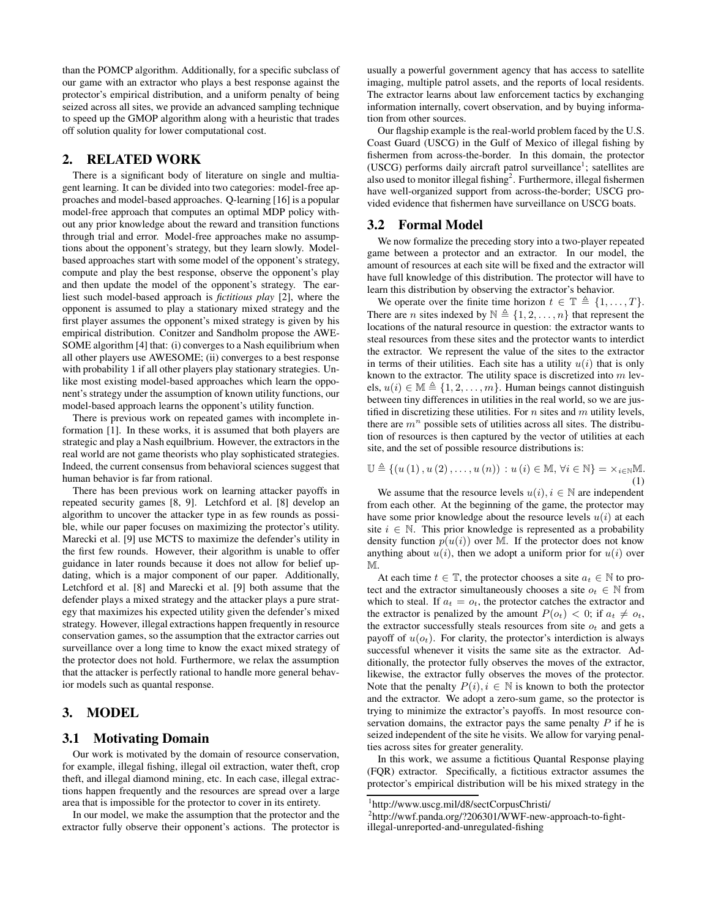than the POMCP algorithm. Additionally, for a specific subclass of our game with an extractor who plays a best response against the protector's empirical distribution, and a uniform penalty of being seized across all sites, we provide an advanced sampling technique to speed up the GMOP algorithm along with a heuristic that trades off solution quality for lower computational cost.

## 2. RELATED WORK

There is a significant body of literature on single and multiagent learning. It can be divided into two categories: model-free approaches and model-based approaches. Q-learning [16] is a popular model-free approach that computes an optimal MDP policy without any prior knowledge about the reward and transition functions through trial and error. Model-free approaches make no assumptions about the opponent's strategy, but they learn slowly. Modelbased approaches start with some model of the opponent's strategy, compute and play the best response, observe the opponent's play and then update the model of the opponent's strategy. The earliest such model-based approach is *fictitious play* [2], where the opponent is assumed to play a stationary mixed strategy and the first player assumes the opponent's mixed strategy is given by his empirical distribution. Conitzer and Sandholm propose the AWE-SOME algorithm [4] that: (i) converges to a Nash equilibrium when all other players use AWESOME; (ii) converges to a best response with probability 1 if all other players play stationary strategies. Unlike most existing model-based approaches which learn the opponent's strategy under the assumption of known utility functions, our model-based approach learns the opponent's utility function.

There is previous work on repeated games with incomplete information [1]. In these works, it is assumed that both players are strategic and play a Nash equilbrium. However, the extractors in the real world are not game theorists who play sophisticated strategies. Indeed, the current consensus from behavioral sciences suggest that human behavior is far from rational.

There has been previous work on learning attacker payoffs in repeated security games [8, 9]. Letchford et al. [8] develop an algorithm to uncover the attacker type in as few rounds as possible, while our paper focuses on maximizing the protector's utility. Marecki et al. [9] use MCTS to maximize the defender's utility in the first few rounds. However, their algorithm is unable to offer guidance in later rounds because it does not allow for belief updating, which is a major component of our paper. Additionally, Letchford et al. [8] and Marecki et al. [9] both assume that the defender plays a mixed strategy and the attacker plays a pure strategy that maximizes his expected utility given the defender's mixed strategy. However, illegal extractions happen frequently in resource conservation games, so the assumption that the extractor carries out surveillance over a long time to know the exact mixed strategy of the protector does not hold. Furthermore, we relax the assumption that the attacker is perfectly rational to handle more general behavior models such as quantal response.

# 3. MODEL

## 3.1 Motivating Domain

Our work is motivated by the domain of resource conservation, for example, illegal fishing, illegal oil extraction, water theft, crop theft, and illegal diamond mining, etc. In each case, illegal extractions happen frequently and the resources are spread over a large area that is impossible for the protector to cover in its entirety.

In our model, we make the assumption that the protector and the extractor fully observe their opponent's actions. The protector is usually a powerful government agency that has access to satellite imaging, multiple patrol assets, and the reports of local residents. The extractor learns about law enforcement tactics by exchanging information internally, covert observation, and by buying information from other sources.

Our flagship example is the real-world problem faced by the U.S. Coast Guard (USCG) in the Gulf of Mexico of illegal fishing by fishermen from across-the-border. In this domain, the protector (USCG) performs daily aircraft patrol surveillance<sup>1</sup>; satellites are also used to monitor illegal fishing<sup>2</sup>. Furthermore, illegal fishermen have well-organized support from across-the-border; USCG provided evidence that fishermen have surveillance on USCG boats.

#### 3.2 Formal Model

We now formalize the preceding story into a two-player repeated game between a protector and an extractor. In our model, the amount of resources at each site will be fixed and the extractor will have full knowledge of this distribution. The protector will have to learn this distribution by observing the extractor's behavior.

We operate over the finite time horizon  $t \in \mathbb{T} \triangleq \{1, \ldots, T\}.$ There are *n* sites indexed by  $\mathbb{N} \triangleq \{1, 2, ..., n\}$  that represent the locations of the natural resource in question: the extractor wants to steal resources from these sites and the protector wants to interdict the extractor. We represent the value of the sites to the extractor in terms of their utilities. Each site has a utility  $u(i)$  that is only known to the extractor. The utility space is discretized into  $m$  levels,  $u(i) \in \mathbb{M} \triangleq \{1, 2, \ldots, m\}$ . Human beings cannot distinguish between tiny differences in utilities in the real world, so we are justified in discretizing these utilities. For  $n$  sites and  $m$  utility levels, there are  $m<sup>n</sup>$  possible sets of utilities across all sites. The distribution of resources is then captured by the vector of utilities at each site, and the set of possible resource distributions is:

$$
\mathbb{U} \triangleq \left\{ \left( u\left(1\right), u\left(2\right), \ldots, u\left(n\right) \right) : u\left(i\right) \in \mathbb{M}, \forall i \in \mathbb{N} \right\} = \times_{i \in \mathbb{N}} \mathbb{M}.
$$
\n(1)

We assume that the resource levels  $u(i)$ ,  $i \in \mathbb{N}$  are independent from each other. At the beginning of the game, the protector may have some prior knowledge about the resource levels  $u(i)$  at each site  $i \in \mathbb{N}$ . This prior knowledge is represented as a probability density function  $p(u(i))$  over M. If the protector does not know anything about  $u(i)$ , then we adopt a uniform prior for  $u(i)$  over M.

At each time  $t \in \mathbb{T}$ , the protector chooses a site  $a_t \in \mathbb{N}$  to protect and the extractor simultaneously chooses a site  $o_t \in \mathbb{N}$  from which to steal. If  $a_t = o_t$ , the protector catches the extractor and the extractor is penalized by the amount  $P(o_t) < 0$ ; if  $a_t \neq o_t$ , the extractor successfully steals resources from site  $o_t$  and gets a payoff of  $u(o_t)$ . For clarity, the protector's interdiction is always successful whenever it visits the same site as the extractor. Additionally, the protector fully observes the moves of the extractor, likewise, the extractor fully observes the moves of the protector. Note that the penalty  $P(i), i \in \mathbb{N}$  is known to both the protector and the extractor. We adopt a zero-sum game, so the protector is trying to minimize the extractor's payoffs. In most resource conservation domains, the extractor pays the same penalty  $P$  if he is seized independent of the site he visits. We allow for varying penalties across sites for greater generality.

In this work, we assume a fictitious Quantal Response playing (FQR) extractor. Specifically, a fictitious extractor assumes the protector's empirical distribution will be his mixed strategy in the

<sup>1</sup> http://www.uscg.mil/d8/sectCorpusChristi/

<sup>&</sup>lt;sup>2</sup>http://wwf.panda.org/?206301/WWF-new-approach-to-fightillegal-unreported-and-unregulated-fishing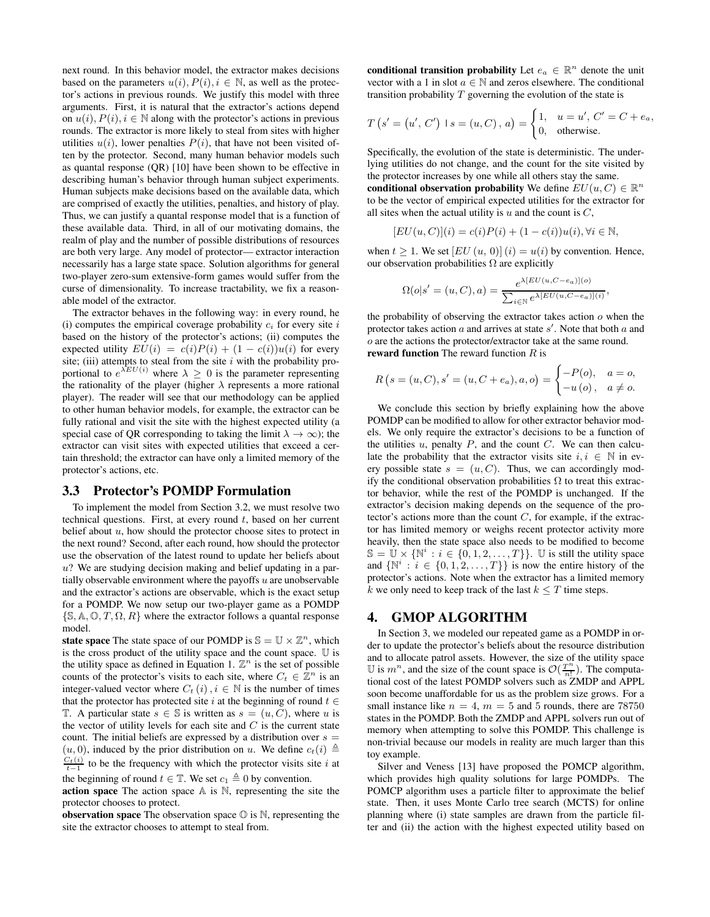next round. In this behavior model, the extractor makes decisions based on the parameters  $u(i)$ ,  $P(i)$ ,  $i \in \mathbb{N}$ , as well as the protector's actions in previous rounds. We justify this model with three arguments. First, it is natural that the extractor's actions depend on  $u(i)$ ,  $P(i)$ ,  $i \in \mathbb{N}$  along with the protector's actions in previous rounds. The extractor is more likely to steal from sites with higher utilities  $u(i)$ , lower penalties  $P(i)$ , that have not been visited often by the protector. Second, many human behavior models such as quantal response (QR) [10] have been shown to be effective in describing human's behavior through human subject experiments. Human subjects make decisions based on the available data, which are comprised of exactly the utilities, penalties, and history of play. Thus, we can justify a quantal response model that is a function of these available data. Third, in all of our motivating domains, the realm of play and the number of possible distributions of resources are both very large. Any model of protector— extractor interaction necessarily has a large state space. Solution algorithms for general two-player zero-sum extensive-form games would suffer from the curse of dimensionality. To increase tractability, we fix a reasonable model of the extractor.

The extractor behaves in the following way: in every round, he (i) computes the empirical coverage probability  $c_i$  for every site i based on the history of the protector's actions; (ii) computes the expected utility  $EU(i) = c(i)P(i) + (1 - c(i))u(i)$  for every site; (iii) attempts to steal from the site  $i$  with the probability proportional to  $e^{\lambda EU(i)}$  where  $\lambda \geq 0$  is the parameter representing the rationality of the player (higher  $\lambda$  represents a more rational player). The reader will see that our methodology can be applied to other human behavior models, for example, the extractor can be fully rational and visit the site with the highest expected utility (a special case of QR corresponding to taking the limit  $\lambda \to \infty$ ); the extractor can visit sites with expected utilities that exceed a certain threshold; the extractor can have only a limited memory of the protector's actions, etc.

#### 3.3 Protector's POMDP Formulation

To implement the model from Section 3.2, we must resolve two technical questions. First, at every round  $t$ , based on her current belief about  $u$ , how should the protector choose sites to protect in the next round? Second, after each round, how should the protector use the observation of the latest round to update her beliefs about  $u$ ? We are studying decision making and belief updating in a partially observable environment where the payoffs  $u$  are unobservable and the extractor's actions are observable, which is the exact setup for a POMDP. We now setup our two-player game as a POMDP  $\{\mathbb S, \mathbb A, \mathbb O, T, \Omega, R\}$  where the extractor follows a quantal response model.

state space The state space of our POMDP is  $\mathbb{S} = \mathbb{U} \times \mathbb{Z}^n$ , which is the cross product of the utility space and the count space. U is the utility space as defined in Equation 1.  $\mathbb{Z}^n$  is the set of possible counts of the protector's visits to each site, where  $C_t \in \mathbb{Z}^n$  is an integer-valued vector where  $C_t(i)$ ,  $i \in \mathbb{N}$  is the number of times that the protector has protected site i at the beginning of round  $t \in$ T. A particular state  $s \in \mathbb{S}$  is written as  $s = (u, C)$ , where u is the vector of utility levels for each site and  $C$  is the current state count. The initial beliefs are expressed by a distribution over  $s =$  $(u, 0)$ , induced by the prior distribution on u. We define  $c_t(i) \triangleq$  $\frac{C_t(i)}{t-1}$  to be the frequency with which the protector visits site i at

the beginning of round  $t \in \mathbb{T}$ . We set  $c_1 \triangleq 0$  by convention.

action space The action space  $A$  is  $N$ , representing the site the protector chooses to protect.

**observation space** The observation space  $\mathbb{O}$  is  $\mathbb{N}$ , representing the site the extractor chooses to attempt to steal from.

conditional transition probability Let  $e_a \in \mathbb{R}^n$  denote the unit vector with a 1 in slot  $a \in \mathbb{N}$  and zeros elsewhere. The conditional transition probability  $T$  governing the evolution of the state is

$$
T(s' = (u', C') \mid s = (u, C), a) = \begin{cases} 1, & u = u', C' = C + e_a, \\ 0, & \text{otherwise.} \end{cases}
$$

Specifically, the evolution of the state is deterministic. The underlying utilities do not change, and the count for the site visited by the protector increases by one while all others stay the same. conditional observation probability We define  $EU(u, C) \in \mathbb{R}^n$ 

to be the vector of empirical expected utilities for the extractor for all sites when the actual utility is  $u$  and the count is  $C$ ,

$$
[EU(u, C)](i) = c(i)P(i) + (1 - c(i))u(i), \forall i \in \mathbb{N},
$$

when  $t > 1$ . We set  $[EU(u, 0)](i) = u(i)$  by convention. Hence, our observation probabilities  $\Omega$  are explicitly

$$
\Omega(o|s'=(u,C),a) = \frac{e^{\lambda[EU(u,C-e_a)](o)}}{\sum_{i\in\mathbb{N}}e^{\lambda[EU(u,C-e_a)](i)}},
$$

the probability of observing the extractor takes action  $o$  when the protector takes action  $a$  and arrives at state  $s'$ . Note that both  $a$  and o are the actions the protector/extractor take at the same round. reward function The reward function  $R$  is

$$
R(s = (u, C), s' = (u, C + e_a), a, o) = \begin{cases} -P(o), & a = o, \\ -u(o), & a \neq o. \end{cases}
$$

We conclude this section by briefly explaining how the above POMDP can be modified to allow for other extractor behavior models. We only require the extractor's decisions to be a function of the utilities  $u$ , penalty  $P$ , and the count  $C$ . We can then calculate the probability that the extractor visits site  $i, i \in \mathbb{N}$  in every possible state  $s = (u, C)$ . Thus, we can accordingly modify the conditional observation probabilities  $\Omega$  to treat this extractor behavior, while the rest of the POMDP is unchanged. If the extractor's decision making depends on the sequence of the protector's actions more than the count  $C$ , for example, if the extractor has limited memory or weighs recent protector activity more heavily, then the state space also needs to be modified to become  $\mathbb{S} = \mathbb{U} \times \{ \mathbb{N}^i : i \in \{0, 1, 2, \dots, T\} \}.$  U is still the utility space and  $\{N^i : i \in \{0, 1, 2, ..., T\}\}$  is now the entire history of the protector's actions. Note when the extractor has a limited memory k we only need to keep track of the last  $k \leq T$  time steps.

## 4. GMOP ALGORITHM

In Section 3, we modeled our repeated game as a POMDP in order to update the protector's beliefs about the resource distribution and to allocate patrol assets. However, the size of the utility space U is  $m^n$ , and the size of the count space is  $\mathcal{O}(\frac{T^n}{n!})$ . The computational cost of the latest POMDP solvers such as ZMDP and APPL soon become unaffordable for us as the problem size grows. For a small instance like  $n = 4$ ,  $m = 5$  and 5 rounds, there are 78750 states in the POMDP. Both the ZMDP and APPL solvers run out of memory when attempting to solve this POMDP. This challenge is non-trivial because our models in reality are much larger than this toy example.

Silver and Veness [13] have proposed the POMCP algorithm, which provides high quality solutions for large POMDPs. The POMCP algorithm uses a particle filter to approximate the belief state. Then, it uses Monte Carlo tree search (MCTS) for online planning where (i) state samples are drawn from the particle filter and (ii) the action with the highest expected utility based on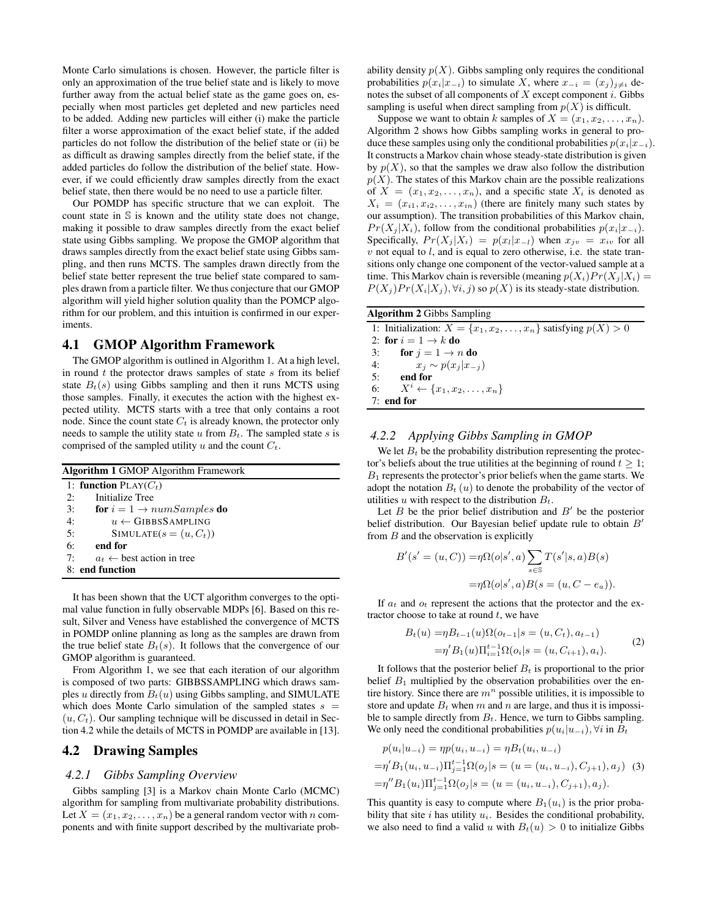Monte Carlo simulations is chosen. However, the particle filter is only an approximation of the true belief state and is likely to move further away from the actual belief state as the game goes on, especially when most particles get depleted and new particles need to be added. Adding new particles will either (i) make the particle filter a worse approximation of the exact belief state, if the added particles do not follow the distribution of the belief state or (ii) be as difficult as drawing samples directly from the belief state, if the added particles do follow the distribution of the belief state. However, if we could efficiently draw samples directly from the exact belief state, then there would be no need to use a particle filter.

Our POMDP has specific structure that we can exploit. The count state in S is known and the utility state does not change, making it possible to draw samples directly from the exact belief state using Gibbs sampling. We propose the GMOP algorithm that draws samples directly from the exact belief state using Gibbs sampling, and then runs MCTS. The samples drawn directly from the belief state better represent the true belief state compared to samples drawn from a particle filter. We thus conjecture that our GMOP algorithm will yield higher solution quality than the POMCP algorithm for our problem, and this intuition is confirmed in our experiments.

#### 4.1 GMOP Algorithm Framework

The GMOP algorithm is outlined in Algorithm 1. At a high level, in round  $t$  the protector draws samples of state  $s$  from its belief state  $B_t(s)$  using Gibbs sampling and then it runs MCTS using those samples. Finally, it executes the action with the highest expected utility. MCTS starts with a tree that only contains a root node. Since the count state  $C_t$  is already known, the protector only needs to sample the utility state  $u$  from  $B_t$ . The sampled state  $s$  is comprised of the sampled utility u and the count  $C_t$ .

| <b>Algorithm 1 GMOP</b> Algorithm Framework |  |  |  |  |
|---------------------------------------------|--|--|--|--|
| 1: function $\text{PLAY}(C_t)$              |  |  |  |  |
| Initialize Tree<br>2:                       |  |  |  |  |
| 3:<br>for $i = 1 \rightarrow numSamples$ do |  |  |  |  |
| 4:<br>$u \leftarrow$ GIBBSSAMPLING          |  |  |  |  |
| 5:<br>$SIMULATE(s = (u, C_t))$              |  |  |  |  |
| 6:<br>end for                               |  |  |  |  |
| 7:<br>$a_t \leftarrow$ best action in tree  |  |  |  |  |
| 8: end function                             |  |  |  |  |
|                                             |  |  |  |  |

It has been shown that the UCT algorithm converges to the optimal value function in fully observable MDPs [6]. Based on this result, Silver and Veness have established the convergence of MCTS in POMDP online planning as long as the samples are drawn from the true belief state  $B_t(s)$ . It follows that the convergence of our GMOP algorithm is guaranteed.

From Algorithm 1, we see that each iteration of our algorithm is composed of two parts: GIBBSSAMPLING which draws samples u directly from  $B_t(u)$  using Gibbs sampling, and SIMULATE which does Monte Carlo simulation of the sampled states  $s =$  $(u, C_t)$ . Our sampling technique will be discussed in detail in Section 4.2 while the details of MCTS in POMDP are available in [13].

## 4.2 Drawing Samples

#### *4.2.1 Gibbs Sampling Overview*

Gibbs sampling [3] is a Markov chain Monte Carlo (MCMC) algorithm for sampling from multivariate probability distributions. Let  $X = (x_1, x_2, \dots, x_n)$  be a general random vector with n components and with finite support described by the multivariate probability density  $p(X)$ . Gibbs sampling only requires the conditional probabilities  $p(x_i|x_{-i})$  to simulate X, where  $x_{-i} = (x_i)_{i \neq i}$  denotes the subset of all components of  $X$  except component  $i$ . Gibbs sampling is useful when direct sampling from  $p(X)$  is difficult.

Suppose we want to obtain k samples of  $X = (x_1, x_2, \ldots, x_n)$ . Algorithm 2 shows how Gibbs sampling works in general to produce these samples using only the conditional probabilities  $p(x_i|x_{-i})$ . It constructs a Markov chain whose steady-state distribution is given by  $p(X)$ , so that the samples we draw also follow the distribution  $p(X)$ . The states of this Markov chain are the possible realizations of  $X = (x_1, x_2, \ldots, x_n)$ , and a specific state  $X_i$  is denoted as  $X_i = (x_{i1}, x_{i2}, \ldots, x_{in})$  (there are finitely many such states by our assumption). The transition probabilities of this Markov chain,  $Pr(X_i | X_i)$ , follow from the conditional probabilities  $p(x_i|x_{-i})$ . Specifically,  $Pr(X_j | X_i) = p(x_l | x_{-l})$  when  $x_{jv} = x_{iv}$  for all  $v$  not equal to  $l$ , and is equal to zero otherwise, i.e. the state transitions only change one component of the vector-valued sample at a time. This Markov chain is reversible (meaning  $p(X_i)Pr(X_j | X_i) =$  $P(X_j)Pr(X_i|X_j), \forall i, j$  so  $p(X)$  is its steady-state distribution.

# Algorithm 2 Gibbs Sampling

| 1: Initialization: $X = \{x_1, x_2, \ldots, x_n\}$ satisfying $p(X) > 0$ |
|--------------------------------------------------------------------------|
| 2: for $i = 1 \rightarrow k$ do                                          |
| 3: for $j = 1 \rightarrow n$ do                                          |
| 4: $x_i \sim p(x_i   x_{-i})$                                            |
| $5:$ end for                                                             |
| 6: $X^i \leftarrow \{x_1, x_2, \ldots, x_n\}$                            |
| $7:$ end for                                                             |

#### *4.2.2 Applying Gibbs Sampling in GMOP*

We let  $B_t$  be the probability distribution representing the protector's beliefs about the true utilities at the beginning of round  $t \geq 1$ ;  $B_1$  represents the protector's prior beliefs when the game starts. We adopt the notation  $B_t(u)$  to denote the probability of the vector of utilities u with respect to the distribution  $B_t$ .

Let  $B$  be the prior belief distribution and  $B'$  be the posterior belief distribution. Our Bayesian belief update rule to obtain B' from  $B$  and the observation is explicitly

$$
B'(s' = (u, C)) = \eta \Omega(o|s', a) \sum_{s \in S} T(s'|s, a)B(s)
$$

$$
= \eta \Omega(o|s', a)B(s = (u, C - e_a)).
$$

If  $a_t$  and  $o_t$  represent the actions that the protector and the extractor choose to take at round  $t$ , we have

$$
B_t(u) = \eta B_{t-1}(u)\Omega(o_{t-1}|s = (u, C_t), a_{t-1})
$$
  
=  $\eta' B_1(u)\Pi_{i=1}^{t-1}\Omega(o_i|s = (u, C_{i+1}), a_i).$  (2)

It follows that the posterior belief  $B_t$  is proportional to the prior belief  $B_1$  multiplied by the observation probabilities over the entire history. Since there are  $m<sup>n</sup>$  possible utilities, it is impossible to store and update  $B_t$  when m and n are large, and thus it is impossible to sample directly from  $B_t$ . Hence, we turn to Gibbs sampling. We only need the conditional probabilities  $p(u_i|u_{-i}), \forall i$  in  $B_t$ 

$$
p(u_i|u_{-i}) = \eta p(u_i, u_{-i}) = \eta B_t(u_i, u_{-i})
$$
  
=  $\eta' B_1(u_i, u_{-i}) \prod_{j=1}^{t-1} \Omega(o_j|s = (u = (u_i, u_{-i}), C_{j+1}), a_j)$  (3)  
=  $\eta'' B_1(u_i) \prod_{j=1}^{t-1} \Omega(o_j|s = (u = (u_i, u_{-i}), C_{j+1}), a_j).$ 

This quantity is easy to compute where  $B_1(u_i)$  is the prior probability that site  $i$  has utility  $u_i$ . Besides the conditional probability, we also need to find a valid u with  $B_t(u) > 0$  to initialize Gibbs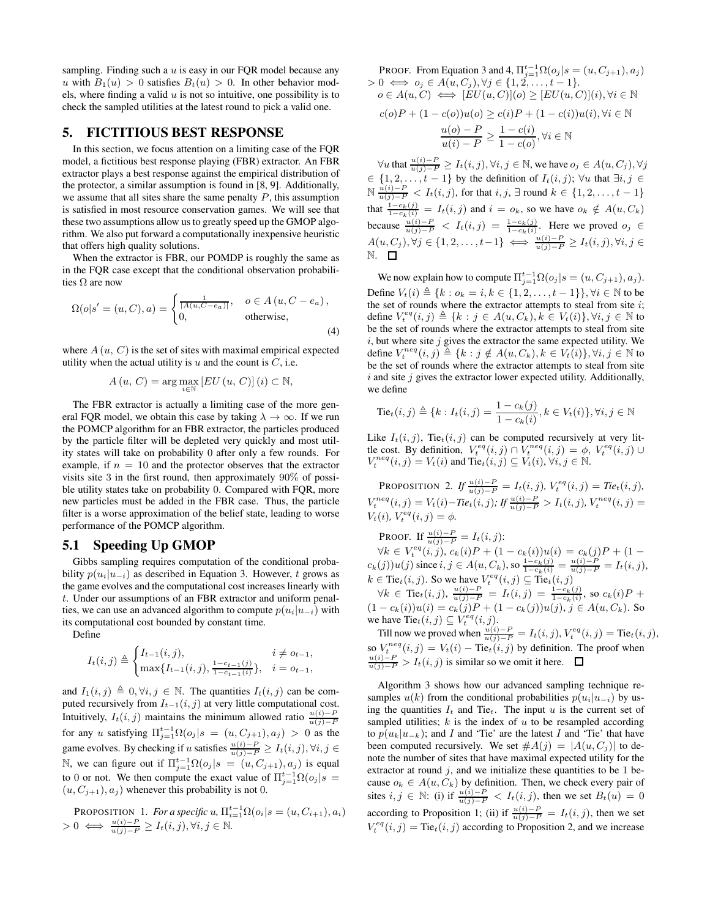sampling. Finding such a  $u$  is easy in our FQR model because any u with  $B_1(u) > 0$  satisfies  $B_t(u) > 0$ . In other behavior models, where finding a valid  $u$  is not so intuitive, one possibility is to check the sampled utilities at the latest round to pick a valid one.

# 5. FICTITIOUS BEST RESPONSE

In this section, we focus attention on a limiting case of the FQR model, a fictitious best response playing (FBR) extractor. An FBR extractor plays a best response against the empirical distribution of the protector, a similar assumption is found in [8, 9]. Additionally, we assume that all sites share the same penalty  $P$ , this assumption is satisfied in most resource conservation games. We will see that these two assumptions allow us to greatly speed up the GMOP algorithm. We also put forward a computationally inexpensive heuristic that offers high quality solutions.

When the extractor is FBR, our POMDP is roughly the same as in the FQR case except that the conditional observation probabilities  $\Omega$  are now

$$
\Omega(o|s' = (u, C), a) = \begin{cases} \frac{1}{|A(u, C - e_a)|}, & o \in A(u, C - e_a), \\ 0, & \text{otherwise}, \end{cases}
$$
(4)

where  $A(u, C)$  is the set of sites with maximal empirical expected utility when the actual utility is  $u$  and the count is  $C$ , i.e.

$$
A(u, C) = \arg \max_{i \in \mathbb{N}} \left[ EU(u, C) \right](i) \subset \mathbb{N},
$$

The FBR extractor is actually a limiting case of the more general FQR model, we obtain this case by taking  $\lambda \to \infty$ . If we run the POMCP algorithm for an FBR extractor, the particles produced by the particle filter will be depleted very quickly and most utility states will take on probability 0 after only a few rounds. For example, if  $n = 10$  and the protector observes that the extractor visits site 3 in the first round, then approximately 90% of possible utility states take on probability 0. Compared with FQR, more new particles must be added in the FBR case. Thus, the particle filter is a worse approximation of the belief state, leading to worse performance of the POMCP algorithm.

## 5.1 Speeding Up GMOP

Gibbs sampling requires computation of the conditional probability  $p(u_i|u_{-i})$  as described in Equation 3. However, t grows as the game evolves and the computational cost increases linearly with t. Under our assumptions of an FBR extractor and uniform penalties, we can use an advanced algorithm to compute  $p(u_i|u_{-i})$  with its computational cost bounded by constant time.

Define

$$
I_t(i,j) \triangleq \begin{cases} I_{t-1}(i,j), & i \neq o_{t-1}, \\ \max\{I_{t-1}(i,j), \frac{1-c_{t-1}(j)}{1-c_{t-1}(i)}\}, & i = o_{t-1}, \end{cases}
$$

and  $I_1(i, j) \triangleq 0, \forall i, j \in \mathbb{N}$ . The quantities  $I_t(i, j)$  can be computed recursively from  $I_{t-1}(i, j)$  at very little computational cost. Intuitively,  $I_t(i, j)$  maintains the minimum allowed ratio  $\frac{u(i)-P}{u(j)-P}$ for any u satisfying  $\Pi_{j=1}^{t-1} \Omega(o_j | s = (u, C_{j+1}), a_j) > 0$  as the game evolves. By checking if u satisfies  $\frac{u(i)-P}{u(j)-P} \geq I_t(i,j), \forall i, j \in$ N, we can figure out if  $\Pi_{j=1}^{t-1} \Omega(o_j | s = (u, C_{j+1}), a_j)$  is equal to 0 or not. We then compute the exact value of  $\prod_{j=1}^{t-1} \Omega(o_j | s)$  $(u, C_{j+1}), a_j$ ) whenever this probability is not 0.

PROPOSITION 1. For a specific u, 
$$
\Pi_{i=1}^{t-1} \Omega(o_i | s = (u, C_{i+1}), a_i)
$$
  
> 0  $\iff \frac{u(i)-P}{u(j)-P} \ge I_t(i,j), \forall i, j \in \mathbb{N}.$ 

PROOF. From Equation 3 and 4,  $\Pi_{j=1}^{t-1} \Omega(o_j | s = (u, C_{j+1}), a_j)$  $> 0 \iff o_j \in A(u, C_j), \forall j \in \{1, 2, \dots, t-1\}.$  $o \in A(u, C) \iff [EU(u, C)](o) \ge [EU(u, C)](i), \forall i \in \mathbb{N}$  $c(a)P + (1 - c(a))u(a) > c(i)P + (1 - c(i))u(i)$ ,  $\forall i \in \mathbb{N}$ 

$$
c_0P + (1 - c_0)u_0 \le c_1P + (1 - c_1)u_1, \forall i \in
$$
  

$$
\frac{u(o) - P}{u(i) - P} \ge \frac{1 - c(i)}{1 - c(o)}, \forall i \in \mathbb{N}
$$

 $\forall u$  that  $\frac{u(i)-P}{u(j)-P} \ge I_t(i,j)$ ,  $\forall i, j \in \mathbb{N}$ , we have  $o_j \in A(u, C_j)$ ,  $\forall j$  $\in \{1, 2, \ldots, t-1\}$  by the definition of  $I_t(i, j)$ ;  $\forall u$  that  $\exists i, j \in$  $\mathbb{N}$   $\frac{u(i)-P}{u(j)-P}$  <  $I_t(i,j)$ , for that  $i, j$ , ∃ round  $k \in \{1, 2, ..., t-1\}$ that  $\frac{1-c_k(j)}{1-c_k(i)} = I_t(i,j)$  and  $i = o_k$ , so we have  $o_k \notin A(u, C_k)$ because  $\frac{u(i)-P}{u(j)-P} < I_t(i,j) = \frac{1-c_k(j)}{1-c_k(i)}$ . Here we proved  $o_j \in$  $A(u, C_j), \forall j \in \{1, 2, \ldots, t-1\} \iff \frac{u(i)-P}{u(j)-P} \ge I_t(i, j), \forall i, j \in$ N.

We now explain how to compute  $\Pi_{j=1}^{t-1} \Omega(o_j | s = (u, C_{j+1}), a_j)$ . Define  $V_t(i) \triangleq \{k : o_k = i, k \in \{1, 2, ..., t - 1\}\}, \forall i \in \mathbb{N}$  to be the set of rounds where the extractor attempts to steal from site  $i$ ; define  $V_t^{eq}(i, j) \triangleq \{k : j \in A(u, C_k), k \in V_t(i)\}, \forall i, j \in \mathbb{N}$  to be the set of rounds where the extractor attempts to steal from site  $i$ , but where site  $j$  gives the extractor the same expected utility. We define  $V_t^{neq}(i, j) \triangleq \{k : j \notin A(u, C_k), k \in V_t(i)\}, \forall i, j \in \mathbb{N}$  to be the set of rounds where the extractor attempts to steal from site  $i$  and site  $j$  gives the extractor lower expected utility. Additionally, we define

$$
Tiet(i, j) ≦ {k : It(i, j) = \frac{1 - ck(j)}{1 - ck(i)}, k ∈ Vt(i)}, ∀i, j ∈ ℕ
$$

Like  $I_t(i, j)$ , Tie $_t(i, j)$  can be computed recursively at very little cost. By definition,  $V_t^{eq}(i, j) \cap V_t^{neq}(i, j) = \phi$ ,  $V_t^{eq}(i, j) \cup$  $V_t^{neq}(i, j) = V_t(i)$  and Tie $_t(i, j) \subseteq V_t(i)$ ,  $\forall i, j \in \mathbb{N}$ .

PROPOSITION 2. *If*  $\frac{u(i)-P}{u(j)-P} = I_t(i,j)$ ,  $V_t^{eq}(i,j) = Tie_t(i,j)$ ,  $V_t^{neq}(i, j) = V_t(i) - Tie_t(i, j);$   $H \frac{u(i) - P}{u(j) - P} > I_t(i, j),$   $V_t^{neq}(i, j) =$  $V_t(i)$ ,  $V_t^{eq}(i, j) = \phi$ .

PROOF. If  $\frac{u(i)-P}{u(j)-P} = I_t(i,j)$ :  $\forall k \in V_t^{eq}(i,j), c_k(i)P + (1 - c_k(i))u(i) = c_k(j)P + (1 - c_k(i))u(i)$  $c_k(j))u(j)$  since  $i, j \in A(u, C_k)$ , so  $\frac{1-c_k(j)}{1-c_k(i)} = \frac{u(i)-P}{u(j)-P} = I_t(i, j)$ ,  $k \in \text{Tie}_t(i, j)$ . So we have  $V_t^{eq}(i, j) \subseteq \text{Tie}_t(i, j)$ 

 $\forall k \in \text{ Tie}_t(i,j), \frac{u(i)-P}{u(j)-P} = I_t(i,j) = \frac{1-c_k(j)}{1-c_k(i)}, \text{ so } c_k(i)P +$  $(1 - c_k(i))u(i) = c_k(j)P + (1 - c_k(j))u(j), j \in A(u, C_k)$ . So we have  $\text{Ti}e_t(i,j) \subseteq V_t^{eq}(i,j)$ .

Till now we proved when  $\frac{u(i)-P}{u(j)-P} = I_t(i,j)$ ,  $V_t^{eq}(i,j) = \text{Tie}_t(i,j)$ , so  $V_t^{neq}(i, j) = V_t(i) - \text{Tie}_t(i, j)$  by definition. The proof when  $\frac{u(i) - P}{u(j) - P} > I_t(i, j)$  is similar so we omit it here. □

Algorithm 3 shows how our advanced sampling technique resamples  $u(k)$  from the conditional probabilities  $p(u_i|u_{-i})$  by using the quantities  $I_t$  and Tie<sub>t</sub>. The input u is the current set of sampled utilities;  $k$  is the index of  $u$  to be resampled according to  $p(u_k|u_{-k})$ ; and I and 'Tie' are the latest I and 'Tie' that have been computed recursively. We set  $#A(j) = |A(u, C_j)|$  to denote the number of sites that have maximal expected utility for the extractor at round  $j$ , and we initialize these quantities to be 1 because  $o_k \in A(u, C_k)$  by definition. Then, we check every pair of sites  $i, j \in \mathbb{N}$ : (i) if  $\frac{u(i)-P}{u(j)-P} < I_t(i,j)$ , then we set  $B_t(u) = 0$ according to Proposition 1; (ii) if  $\frac{u(i)-P}{u(j)-P} = I_t(i,j)$ , then we set  $V_t^{eq}(i, j) = \text{Tie}_t(i, j)$  according to Proposition 2, and we increase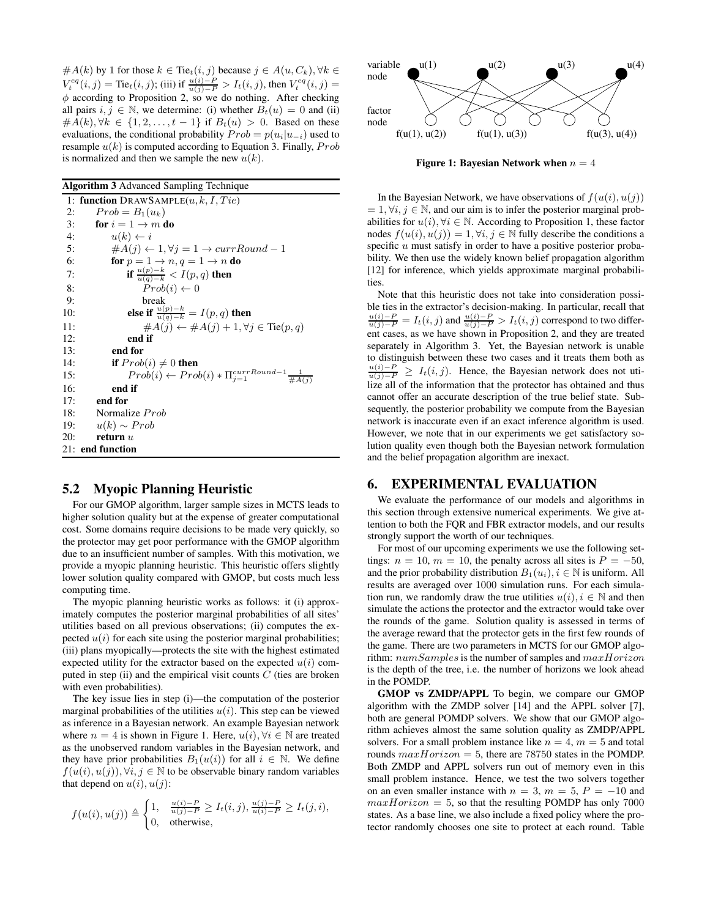$#A(k)$  by 1 for those  $k \in$  Tie $_t(i, j)$  because  $j \in A(u, C_k), \forall k \in$  $V_t^{eq}(i, j) = \text{Tie}_t(i, j);$  (iii) if  $\frac{u(i) - P}{u(j) - P} > I_t(i, j)$ , then  $V_t^{eq}(i, j) =$  $\phi$  according to Proposition 2, so we do nothing. After checking all pairs  $i, j \in \mathbb{N}$ , we determine: (i) whether  $B_t(u) = 0$  and (ii) # $A(k)$ ,  $\forall k \in \{1, 2, ..., t-1\}$  if  $B_t(u) > 0$ . Based on these evaluations, the conditional probability  $Prob = p(u_i|u_{-i})$  used to resample  $u(k)$  is computed according to Equation 3. Finally,  $Prob$ is normalized and then we sample the new  $u(k)$ .

Algorithm 3 Advanced Sampling Technique

| 1: function DRAWSAMPLE $(u, k, I, Tie)$                                        |
|--------------------------------------------------------------------------------|
| $Prob = B_1(u_k)$<br>2:                                                        |
| 3:<br>for $i = 1 \rightarrow m$ do                                             |
| $u(k) \leftarrow i$<br>4:                                                      |
| 5:<br>$\#A(j) \leftarrow 1, \forall j = 1 \rightarrow currRound - 1$           |
| 6:<br>for $p = 1 \rightarrow n, q = 1 \rightarrow n$ do                        |
| if $\frac{u(p)-k}{u(q)-k} < I(p,q)$ then<br>7:                                 |
| $Prob(i) \leftarrow 0$<br>8:                                                   |
| 9:<br>break                                                                    |
| else if $\frac{u(p)-k}{u(q)-k} = I(p,q)$ then<br>10:                           |
| $\#A(j) \leftarrow \#A(j) + 1, \forall j \in \text{Te}(p, q)$<br>11:           |
| 12:<br>end if                                                                  |
| end for<br>13:                                                                 |
| 14:<br><b>if</b> $Prob(i) \neq 0$ then                                         |
| $Prob(i) \leftarrow Prob(i) * \Pi_{i=1}^{currRound-1} \frac{1}{\#A(i)}$<br>15: |
| 16:<br>end if                                                                  |
| end for<br>17:                                                                 |
| Normalize <i>Prob</i><br>18:                                                   |
| 19: $u(k) \sim Prob$                                                           |
| 20:<br>return $u$                                                              |
| 21: end function                                                               |
|                                                                                |

#### 5.2 Myopic Planning Heuristic

For our GMOP algorithm, larger sample sizes in MCTS leads to higher solution quality but at the expense of greater computational cost. Some domains require decisions to be made very quickly, so the protector may get poor performance with the GMOP algorithm due to an insufficient number of samples. With this motivation, we provide a myopic planning heuristic. This heuristic offers slightly lower solution quality compared with GMOP, but costs much less computing time.

The myopic planning heuristic works as follows: it (i) approximately computes the posterior marginal probabilities of all sites' utilities based on all previous observations; (ii) computes the expected  $u(i)$  for each site using the posterior marginal probabilities; (iii) plans myopically—protects the site with the highest estimated expected utility for the extractor based on the expected  $u(i)$  computed in step (ii) and the empirical visit counts  $C$  (ties are broken with even probabilities).

The key issue lies in step (i)—the computation of the posterior marginal probabilities of the utilities  $u(i)$ . This step can be viewed as inference in a Bayesian network. An example Bayesian network where  $n = 4$  is shown in Figure 1. Here,  $u(i)$ ,  $\forall i \in \mathbb{N}$  are treated as the unobserved random variables in the Bayesian network, and they have prior probabilities  $B_1(u(i))$  for all  $i \in \mathbb{N}$ . We define  $f(u(i), u(j))$ ,  $\forall i, j \in \mathbb{N}$  to be observable binary random variables that depend on  $u(i)$ ,  $u(j)$ :

$$
f(u(i), u(j)) \triangleq \begin{cases} 1, & \frac{u(i)-P}{u(j)-P} \ge I_t(i,j), \frac{u(j)-P}{u(i)-P} \ge I_t(j,i), \\ 0, & \text{otherwise,} \end{cases}
$$



Figure 1: Bayesian Network when  $n = 4$ 

In the Bayesian Network, we have observations of  $f(u(i), u(j))$  $= 1, \forall i, j \in \mathbb{N}$ , and our aim is to infer the posterior marginal probabilities for  $u(i)$ ,  $\forall i \in \mathbb{N}$ . According to Proposition 1, these factor nodes  $f(u(i), u(j)) = 1, \forall i, j \in \mathbb{N}$  fully describe the conditions a specific  $u$  must satisfy in order to have a positive posterior probability. We then use the widely known belief propagation algorithm [12] for inference, which yields approximate marginal probabilities.

Note that this heuristic does not take into consideration possible ties in the extractor's decision-making. In particular, recall that  $\frac{u(i)-P}{u(j)-P} = I_t(i,j)$  and  $\frac{u(i)-P}{u(j)-P} > I_t(i,j)$  correspond to two different cases, as we have shown in Proposition 2, and they are treated separately in Algorithm 3. Yet, the Bayesian network is unable to distinguish between these two cases and it treats them both as  $\frac{u(i)-P}{u(j)-P}$  ≥  $I_t(i,j)$ . Hence, the Bayesian network does not utilize all of the information that the protector has obtained and thus cannot offer an accurate description of the true belief state. Subsequently, the posterior probability we compute from the Bayesian network is inaccurate even if an exact inference algorithm is used. However, we note that in our experiments we get satisfactory solution quality even though both the Bayesian network formulation and the belief propagation algorithm are inexact.

#### 6. EXPERIMENTAL EVALUATION

We evaluate the performance of our models and algorithms in this section through extensive numerical experiments. We give attention to both the FQR and FBR extractor models, and our results strongly support the worth of our techniques.

For most of our upcoming experiments we use the following settings:  $n = 10$ ,  $m = 10$ , the penalty across all sites is  $P = -50$ , and the prior probability distribution  $B_1(u_i), i \in \mathbb{N}$  is uniform. All results are averaged over 1000 simulation runs. For each simulation run, we randomly draw the true utilities  $u(i)$ ,  $i \in \mathbb{N}$  and then simulate the actions the protector and the extractor would take over the rounds of the game. Solution quality is assessed in terms of the average reward that the protector gets in the first few rounds of the game. There are two parameters in MCTS for our GMOP algorithm: numSamples is the number of samples and  $maxHorizon$ is the depth of the tree, i.e. the number of horizons we look ahead in the POMDP.

GMOP vs ZMDP/APPL To begin, we compare our GMOP algorithm with the ZMDP solver [14] and the APPL solver [7], both are general POMDP solvers. We show that our GMOP algorithm achieves almost the same solution quality as ZMDP/APPL solvers. For a small problem instance like  $n = 4$ ,  $m = 5$  and total rounds  $maxHorizon = 5$ , there are 78750 states in the POMDP. Both ZMDP and APPL solvers run out of memory even in this small problem instance. Hence, we test the two solvers together on an even smaller instance with  $n = 3$ ,  $m = 5$ ,  $P = -10$  and  $maxHorizon = 5$ , so that the resulting POMDP has only 7000 states. As a base line, we also include a fixed policy where the protector randomly chooses one site to protect at each round. Table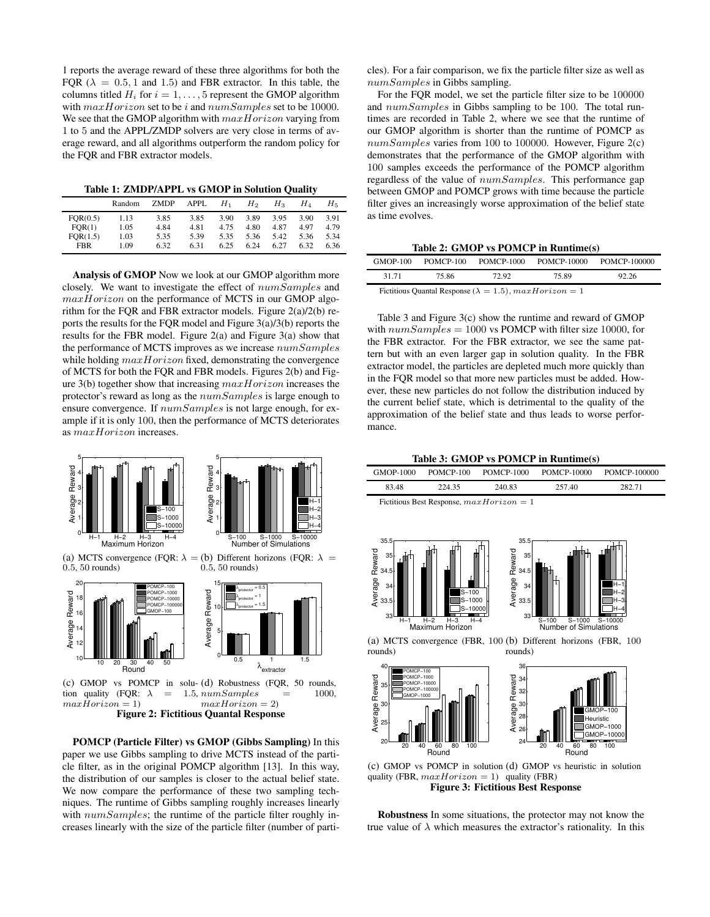1 reports the average reward of these three algorithms for both the FQR ( $\lambda = 0.5, 1$  and 1.5) and FBR extractor. In this table, the columns titled  $H_i$  for  $i = 1, \ldots, 5$  represent the GMOP algorithm with  $maxHorizon$  set to be *i* and  $numSamples$  set to be 10000. We see that the GMOP algorithm with  $maxHorizon$  varying from 1 to 5 and the APPL/ZMDP solvers are very close in terms of average reward, and all algorithms outperform the random policy for the FQR and FBR extractor models.

Table 1: ZMDP/APPL vs GMOP in Solution Quality

|            | Random | <b>ZMDP</b> | APPL | $H_{1}$ | $H_2$ | $H_{3}$ | $H_4$ | H5.  |
|------------|--------|-------------|------|---------|-------|---------|-------|------|
| FOR(0.5)   | 1.13   | 3.85        | 3.85 | 3.90    | 3.89  | 3.95    | 3.90  | 3.91 |
| FOR(1)     | 1.05   | 4.84        | 4.81 | 4.75    | 4.80  | 4.87    | 4.97  | 4.79 |
| FOR(1.5)   | 1.03   | 5.35        | 5.39 | 5.35    | 5.36  | 5.42    | 5.36  | 5.34 |
| <b>FBR</b> | 1.09   | 6.32        | 6.31 | 6.25    | 6.24  | 6.27    | 6.32  | 6.36 |

Analysis of GMOP Now we look at our GMOP algorithm more closely. We want to investigate the effect of numSamples and  $maxHorizon$  on the performance of MCTS in our GMOP algorithm for the FQR and FBR extractor models. Figure 2(a)/2(b) reports the results for the FQR model and Figure 3(a)/3(b) reports the results for the FBR model. Figure 2(a) and Figure 3(a) show that the performance of MCTS improves as we increase numSamples while holding  $maxHorizon$  fixed, demonstrating the convergence of MCTS for both the FQR and FBR models. Figures 2(b) and Figure 3(b) together show that increasing  $maxHorizon$  increases the protector's reward as long as the numSamples is large enough to ensure convergence. If  $numSamples$  is not large enough, for example if it is only 100, then the performance of MCTS deteriorates as maxHorizon increases.



Figure 2: Fictitious Quantal Response

POMCP (Particle Filter) vs GMOP (Gibbs Sampling) In this paper we use Gibbs sampling to drive MCTS instead of the particle filter, as in the original POMCP algorithm [13]. In this way, the distribution of our samples is closer to the actual belief state. We now compare the performance of these two sampling techniques. The runtime of Gibbs sampling roughly increases linearly with  $numSamples$ ; the runtime of the particle filter roughly increases linearly with the size of the particle filter (number of particles). For a fair comparison, we fix the particle filter size as well as numSamples in Gibbs sampling.

For the FQR model, we set the particle filter size to be 100000 and  $numSamples$  in Gibbs sampling to be 100. The total runtimes are recorded in Table 2, where we see that the runtime of our GMOP algorithm is shorter than the runtime of POMCP as  $numSamples$  varies from 100 to 100000. However, Figure 2(c) demonstrates that the performance of the GMOP algorithm with 100 samples exceeds the performance of the POMCP algorithm regardless of the value of numSamples. This performance gap between GMOP and POMCP grows with time because the particle filter gives an increasingly worse approximation of the belief state as time evolves.

Table 2: GMOP vs POMCP in Runtime(s)

| <b>GMOP-100</b> | POMCP-100                                                         | POMCP-1000 | POMCP-10000 | POMCP-100000 |  |  |
|-----------------|-------------------------------------------------------------------|------------|-------------|--------------|--|--|
| 31 71           | 75.86                                                             | 72.92      | 75.89       | 92.26        |  |  |
|                 | Fictitious Quantal Response ( $\lambda = 1.5$ ), $maxHorizon = 1$ |            |             |              |  |  |

Table 3 and Figure 3(c) show the runtime and reward of GMOP with  $numSamples = 1000$  vs POMCP with filter size 10000, for the FBR extractor. For the FBR extractor, we see the same pattern but with an even larger gap in solution quality. In the FBR extractor model, the particles are depleted much more quickly than in the FQR model so that more new particles must be added. However, these new particles do not follow the distribution induced by the current belief state, which is detrimental to the quality of the approximation of the belief state and thus leads to worse performance.

 $T<sub>1</sub>$  in  $\mathcal{A}$  gmonton in Roman in  $\mathbf{R}$  and  $\mathbf{R}$  in  $\mathbf{R}$  in  $\mathbf{R}$  in  $\mathbf{R}$  in  $\mathbf{R}$  in  $\mathbf{R}$  in  $\mathbf{R}$  in  $\mathbf{R}$  in  $\mathbf{R}$  in  $\mathbf{R}$  in  $\mathbf{R}$  in  $\mathbf{R}$  in  $\mathbf{R}$  in  $\mathbf{R}$ 

|                                                                           |                                                                                     |                                                                     | Table 5: GMOP VS POMCP In Runume(s)                                                                                 |                 |
|---------------------------------------------------------------------------|-------------------------------------------------------------------------------------|---------------------------------------------------------------------|---------------------------------------------------------------------------------------------------------------------|-----------------|
| <b>GMOP-1000</b>                                                          | POMCP-100                                                                           | <b>POMCP-1000</b>                                                   | <b>POMCP-10000</b>                                                                                                  | POMCP-100000    |
| 83.48                                                                     | 224.35                                                                              | 240.83                                                              | 257.40                                                                                                              | 282.71          |
|                                                                           |                                                                                     | Fictitious Best Response, $maxHorizon = 1$                          |                                                                                                                     |                 |
| 35.5<br>Average Reward<br>ಜಿ ಜಿ ಹಿ ಜಿ<br>ಆ ಜಿ ಜ<br>33<br>$H-1$<br>rounds) | $S-100$<br>$S - 1000$<br>$-10000$<br>$H - 2$<br>$H-3$<br>$H - 4$<br>Maximum Horizon | 35.5<br>Average Reward<br>35<br>34.5<br>34<br>33.5<br>33<br>rounds) | $S - 100$<br>$S - 1000$<br>Number of Simulations<br>(a) MCTS convergence (FBR, 100 (b) Different horizons (FBR, 100 | H-<br>$S-10000$ |
| $40\sqrt{m}$                                                              |                                                                                     | 36г                                                                 |                                                                                                                     |                 |



(c) GMOP vs POMCP in solution (d) GMOP vs heuristic in solution quality (FBR,  $maxHorizon = 1$ ) quality (FBR) Figure 3: Fictitious Best Response

Robustness In some situations, the protector may not know the true value of  $\lambda$  which measures the extractor's rationality. In this